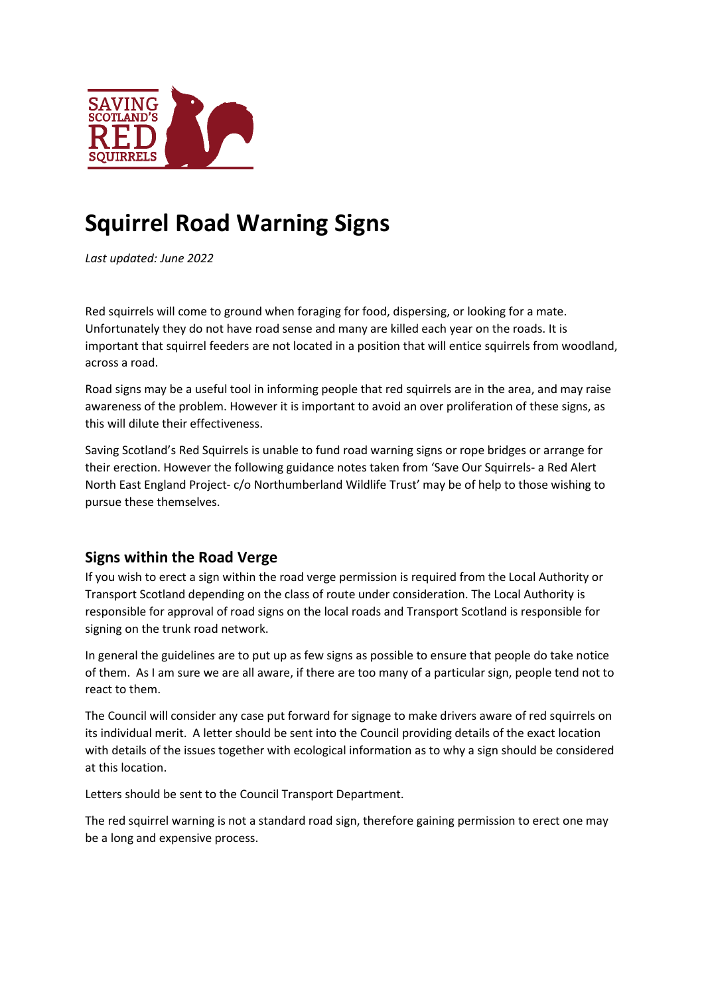

## **Squirrel Road Warning Signs**

*Last updated: June 2022*

Red squirrels will come to ground when foraging for food, dispersing, or looking for a mate. Unfortunately they do not have road sense and many are killed each year on the roads. It is important that squirrel feeders are not located in a position that will entice squirrels from woodland, across a road.

Road signs may be a useful tool in informing people that red squirrels are in the area, and may raise awareness of the problem. However it is important to avoid an over proliferation of these signs, as this will dilute their effectiveness.

Saving Scotland's Red Squirrels is unable to fund road warning signs or rope bridges or arrange for their erection. However the following guidance notes taken from 'Save Our Squirrels- a Red Alert North East England Project- c/o Northumberland Wildlife Trust' may be of help to those wishing to pursue these themselves.

## **Signs within the Road Verge**

If you wish to erect a sign within the road verge permission is required from the Local Authority or Transport Scotland depending on the class of route under consideration. The Local Authority is responsible for approval of road signs on the local roads and Transport Scotland is responsible for signing on the trunk road network.

In general the guidelines are to put up as few signs as possible to ensure that people do take notice of them. As I am sure we are all aware, if there are too many of a particular sign, people tend not to react to them.

The Council will consider any case put forward for signage to make drivers aware of red squirrels on its individual merit. A letter should be sent into the Council providing details of the exact location with details of the issues together with ecological information as to why a sign should be considered at this location.

Letters should be sent to the Council Transport Department.

The red squirrel warning is not a standard road sign, therefore gaining permission to erect one may be a long and expensive process.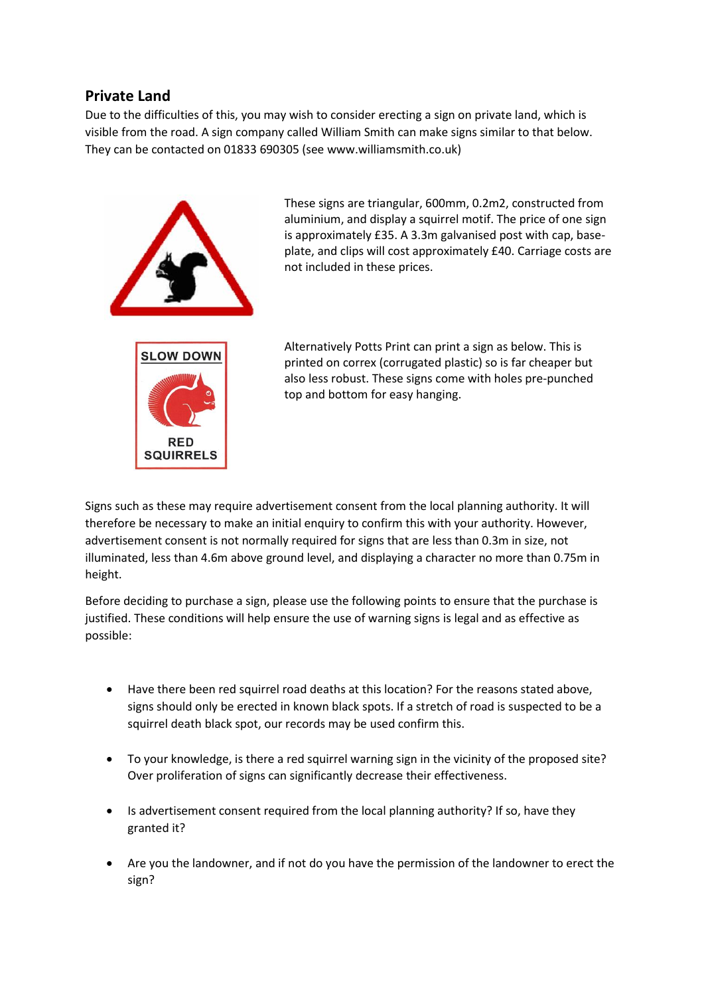## **Private Land**

Due to the difficulties of this, you may wish to consider erecting a sign on private land, which is visible from the road. A sign company called William Smith can make signs similar to that below. They can be contacted on 01833 690305 (see www.williamsmith.co.uk)



These signs are triangular, 600mm, 0.2m2, constructed from aluminium, and display a squirrel motif. The price of one sign is approximately £35. A 3.3m galvanised post with cap, baseplate, and clips will cost approximately £40. Carriage costs are not included in these prices.

Alternatively Potts Print can print a sign as below. This is printed on correx (corrugated plastic) so is far cheaper but also less robust. These signs come with holes pre-punched top and bottom for easy hanging.

Signs such as these may require advertisement consent from the local planning authority. It will therefore be necessary to make an initial enquiry to confirm this with your authority. However, advertisement consent is not normally required for signs that are less than 0.3m in size, not illuminated, less than 4.6m above ground level, and displaying a character no more than 0.75m in height.

Before deciding to purchase a sign, please use the following points to ensure that the purchase is justified. These conditions will help ensure the use of warning signs is legal and as effective as possible:

- Have there been red squirrel road deaths at this location? For the reasons stated above, signs should only be erected in known black spots. If a stretch of road is suspected to be a squirrel death black spot, our records may be used confirm this.
- To your knowledge, is there a red squirrel warning sign in the vicinity of the proposed site? Over proliferation of signs can significantly decrease their effectiveness.
- Is advertisement consent required from the local planning authority? If so, have they granted it?
- Are you the landowner, and if not do you have the permission of the landowner to erect the sign?